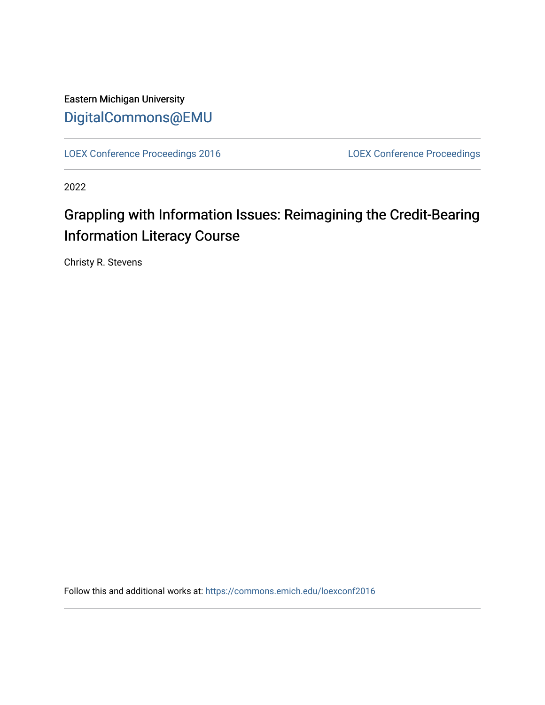Eastern Michigan University [DigitalCommons@EMU](https://commons.emich.edu/) 

[LOEX Conference Proceedings 2016](https://commons.emich.edu/loexconf2016) [LOEX Conference Proceedings](https://commons.emich.edu/loexconf) 

2022

# Grappling with Information Issues: Reimagining the Credit-Bearing Information Literacy Course

Christy R. Stevens

Follow this and additional works at: [https://commons.emich.edu/loexconf2016](https://commons.emich.edu/loexconf2016?utm_source=commons.emich.edu%2Floexconf2016%2F11&utm_medium=PDF&utm_campaign=PDFCoverPages)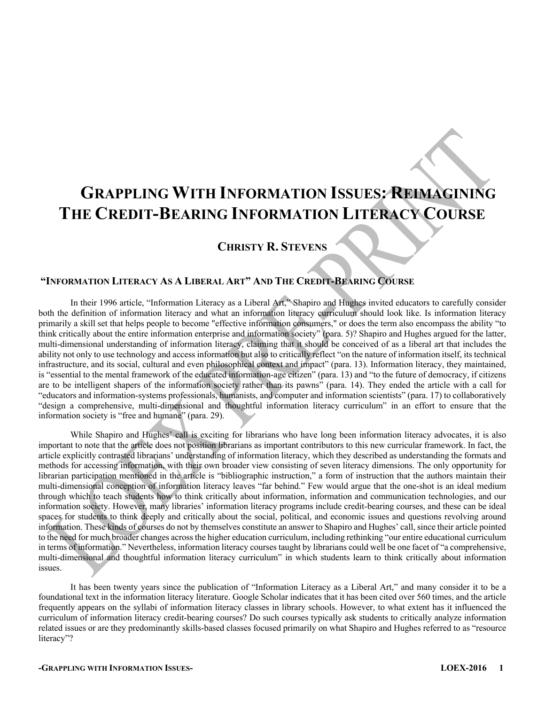# **GRAPPLING WITH INFORMATION ISSUES: REIMAGINING THE CREDIT-BEARING INFORMATION LITERACY COURSE**

# **CHRISTY R. STEVENS**

# **"INFORMATION LITERACY AS A LIBERAL ART" AND THE CREDIT-BEARING COURSE**

In their 1996 article, "Information Literacy as a Liberal Art," Shapiro and Hughes invited educators to carefully consider both the definition of information literacy and what an information literacy curriculum should look like. Is information literacy primarily a skill set that helps people to become "effective information consumers," or does the term also encompass the ability "to think critically about the entire information enterprise and information society" (para. 5)? Shapiro and Hughes argued for the latter, multi-dimensional understanding of information literacy, claiming that it should be conceived of as a liberal art that includes the ability not only to use technology and access information but also to critically reflect "on the nature of information itself, its technical infrastructure, and its social, cultural and even philosophical context and impact" (para. 13). Information literacy, they maintained, is "essential to the mental framework of the educated information-age citizen" (para. 13) and "to the future of democracy, if citizens are to be intelligent shapers of the information society rather than its pawns" (para. 14). They ended the article with a call for "educators and information-systems professionals, humanists, and computer and information scientists" (para. 17) to collaboratively "design a comprehensive, multi-dimensional and thoughtful information literacy curriculum" in an effort to ensure that the information society is "free and humane" (para. 29).

While Shapiro and Hughes' call is exciting for librarians who have long been information literacy advocates, it is also important to note that the article does not position librarians as important contributors to this new curricular framework. In fact, the article explicitly contrasted librarians' understanding of information literacy, which they described as understanding the formats and methods for accessing information, with their own broader view consisting of seven literacy dimensions. The only opportunity for librarian participation mentioned in the article is "bibliographic instruction," a form of instruction that the authors maintain their multi-dimensional conception of information literacy leaves "far behind." Few would argue that the one-shot is an ideal medium through which to teach students how to think critically about information, information and communication technologies, and our information society. However, many libraries' information literacy programs include credit-bearing courses, and these can be ideal spaces for students to think deeply and critically about the social, political, and economic issues and questions revolving around information. These kinds of courses do not by themselves constitute an answer to Shapiro and Hughes' call, since their article pointed to the need for much broader changes across the higher education curriculum, including rethinking "our entire educational curriculum in terms of information." Nevertheless, information literacy courses taught by librarians could well be one facet of "a comprehensive, multi-dimensional and thoughtful information literacy curriculum" in which students learn to think critically about information issues.

It has been twenty years since the publication of "Information Literacy as a Liberal Art," and many consider it to be a foundational text in the information literacy literature. Google Scholar indicates that it has been cited over 560 times, and the article frequently appears on the syllabi of information literacy classes in library schools. However, to what extent has it influenced the curriculum of information literacy credit-bearing courses? Do such courses typically ask students to critically analyze information related issues or are they predominantly skills-based classes focused primarily on what Shapiro and Hughes referred to as "resource literacy"?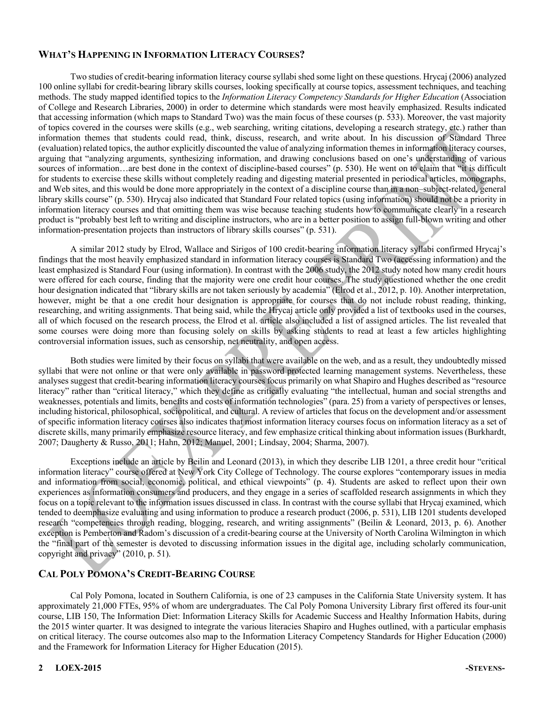# **WHAT'S HAPPENING IN INFORMATION LITERACY COURSES?**

Two studies of credit-bearing information literacy course syllabi shed some light on these questions. Hrycaj (2006) analyzed 100 online syllabi for credit-bearing library skills courses, looking specifically at course topics, assessment techniques, and teaching methods. The study mapped identified topics to the *Information Literacy Competency Standards for Higher Education* (Association of College and Research Libraries, 2000) in order to determine which standards were most heavily emphasized. Results indicated that accessing information (which maps to Standard Two) was the main focus of these courses (p. 533). Moreover, the vast majority of topics covered in the courses were skills (e.g., web searching, writing citations, developing a research strategy, etc.) rather than information themes that students could read, think, discuss, research, and write about. In his discussion of Standard Three (evaluation) related topics, the author explicitly discounted the value of analyzing information themesin information literacy courses, arguing that "analyzing arguments, synthesizing information, and drawing conclusions based on one's understanding of various sources of information…are best done in the context of discipline-based courses" (p. 530). He went on to claim that "it is difficult for students to exercise these skills without completely reading and digesting material presented in periodical articles, monographs, and Web sites, and this would be done more appropriately in the context of a discipline course than in a non–subject-related, general library skills course" (p. 530). Hrycaj also indicated that Standard Four related topics (using information) should not be a priority in information literacy courses and that omitting them was wise because teaching students how to communicate clearly in a research product is "probably best left to writing and discipline instructors, who are in a better position to assign full-blown writing and other information-presentation projects than instructors of library skills courses" (p. 531).

A similar 2012 study by Elrod, Wallace and Sirigos of 100 credit-bearing information literacy syllabi confirmed Hrycaj's findings that the most heavily emphasized standard in information literacy courses is Standard Two (accessing information) and the least emphasized is Standard Four (using information). In contrast with the 2006 study, the 2012 study noted how many credit hours were offered for each course, finding that the majority were one credit hour courses. The study questioned whether the one credit hour designation indicated that "library skills are not taken seriously by academia" (Elrod et al., 2012, p. 10). Another interpretation, however, might be that a one credit hour designation is appropriate for courses that do not include robust reading, thinking, researching, and writing assignments. That being said, while the Hrycaj article only provided a list of textbooks used in the courses, all of which focused on the research process, the Elrod et al. article also included a list of assigned articles. The list revealed that some courses were doing more than focusing solely on skills by asking students to read at least a few articles highlighting controversial information issues, such as censorship, net neutrality, and open access.

Both studies were limited by their focus on syllabi that were available on the web, and as a result, they undoubtedly missed syllabi that were not online or that were only available in password protected learning management systems. Nevertheless, these analyses suggest that credit-bearing information literacy courses focus primarily on what Shapiro and Hughes described as "resource literacy" rather than "critical literacy," which they define as critically evaluating "the intellectual, human and social strengths and weaknesses, potentials and limits, benefits and costs of information technologies" (para. 25) from a variety of perspectives or lenses, including historical, philosophical, sociopolitical, and cultural. A review of articles that focus on the development and/or assessment of specific information literacy courses also indicates that most information literacy courses focus on information literacy as a set of discrete skills, many primarily emphasize resource literacy, and few emphasize critical thinking about information issues (Burkhardt, 2007; Daugherty & Russo, 2011; Hahn, 2012; Manuel, 2001; Lindsay, 2004; Sharma, 2007).

Exceptions include an article by Beilin and Leonard (2013), in which they describe LIB 1201, a three credit hour "critical information literacy" course offered at New York City College of Technology. The course explores "contemporary issues in media and information from social, economic, political, and ethical viewpoints" (p. 4). Students are asked to reflect upon their own experiences as information consumers and producers, and they engage in a series of scaffolded research assignments in which they focus on a topic relevant to the information issues discussed in class. In contrast with the course syllabi that Hrycaj examined, which tended to deemphasize evaluating and using information to produce a research product (2006, p. 531), LIB 1201 students developed research "competencies through reading, blogging, research, and writing assignments" (Beilin & Leonard, 2013, p. 6). Another exception is Pemberton and Radom's discussion of a credit-bearing course at the University of North Carolina Wilmington in which the "final part of the semester is devoted to discussing information issues in the digital age, including scholarly communication, copyright and privacy" (2010, p. 51).

### **CAL POLY POMONA'S CREDIT-BEARING COURSE**

Cal Poly Pomona, located in Southern California, is one of 23 campuses in the California State University system. It has approximately 21,000 FTEs, 95% of whom are undergraduates. The Cal Poly Pomona University Library first offered its four-unit course, LIB 150, The Information Diet: Information Literacy Skills for Academic Success and Healthy Information Habits, during the 2015 winter quarter. It was designed to integrate the various literacies Shapiro and Hughes outlined, with a particular emphasis on critical literacy. The course outcomes also map to the Information Literacy Competency Standards for Higher Education (2000) and the Framework for Information Literacy for Higher Education (2015).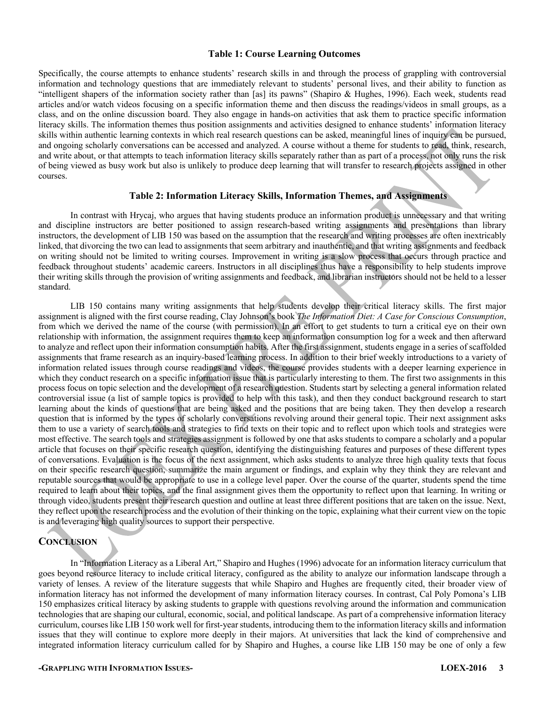#### **Table 1: Course Learning Outcomes**

Specifically, the course attempts to enhance students' research skills in and through the process of grappling with controversial information and technology questions that are immediately relevant to students' personal lives, and their ability to function as "intelligent shapers of the information society rather than [as] its pawns" (Shapiro & Hughes, 1996). Each week, students read articles and/or watch videos focusing on a specific information theme and then discuss the readings/videos in small groups, as a class, and on the online discussion board. They also engage in hands-on activities that ask them to practice specific information literacy skills. The information themes thus position assignments and activities designed to enhance students' information literacy skills within authentic learning contexts in which real research questions can be asked, meaningful lines of inquiry can be pursued, and ongoing scholarly conversations can be accessed and analyzed. A course without a theme for students to read, think, research, and write about, or that attempts to teach information literacy skills separately rather than as part of a process, not only runs the risk of being viewed as busy work but also is unlikely to produce deep learning that will transfer to research projects assigned in other courses.

#### **Table 2: Information Literacy Skills, Information Themes, and Assignments**

In contrast with Hrycaj, who argues that having students produce an information product is unnecessary and that writing and discipline instructors are better positioned to assign research-based writing assignments and presentations than library instructors, the development of LIB 150 was based on the assumption that the research and writing processes are often inextricably linked, that divorcing the two can lead to assignments that seem arbitrary and inauthentic, and that writing assignments and feedback on writing should not be limited to writing courses. Improvement in writing is a slow process that occurs through practice and feedback throughout students' academic careers. Instructors in all disciplines thus have a responsibility to help students improve their writing skills through the provision of writing assignments and feedback, and librarian instructors should not be held to a lesser standard.

LIB 150 contains many writing assignments that help students develop their critical literacy skills. The first major assignment is aligned with the first course reading, Clay Johnson's book *The Information Diet: A Case for Conscious Consumption*, from which we derived the name of the course (with permission). In an effort to get students to turn a critical eye on their own relationship with information, the assignment requires them to keep an information consumption log for a week and then afterward to analyze and reflect upon their information consumption habits. After the first assignment, students engage in a series of scaffolded assignments that frame research as an inquiry-based learning process. In addition to their brief weekly introductions to a variety of information related issues through course readings and videos, the course provides students with a deeper learning experience in which they conduct research on a specific information issue that is particularly interesting to them. The first two assignments in this process focus on topic selection and the development of a research question. Students start by selecting a general information related controversial issue (a list of sample topics is provided to help with this task), and then they conduct background research to start learning about the kinds of questions that are being asked and the positions that are being taken. They then develop a research question that is informed by the types of scholarly conversations revolving around their general topic. Their next assignment asks them to use a variety of search tools and strategies to find texts on their topic and to reflect upon which tools and strategies were most effective. The search tools and strategies assignment is followed by one that asks students to compare a scholarly and a popular article that focuses on their specific research question, identifying the distinguishing features and purposes of these different types of conversations. Evaluation is the focus of the next assignment, which asks students to analyze three high quality texts that focus on their specific research question, summarize the main argument or findings, and explain why they think they are relevant and reputable sources that would be appropriate to use in a college level paper. Over the course of the quarter, students spend the time required to learn about their topics, and the final assignment gives them the opportunity to reflect upon that learning. In writing or through video, students present their research question and outline at least three different positions that are taken on the issue. Next, they reflect upon the research process and the evolution of their thinking on the topic, explaining what their current view on the topic is and leveraging high quality sources to support their perspective.

### **CONCLUSION**

In "Information Literacy as a Liberal Art," Shapiro and Hughes (1996) advocate for an information literacy curriculum that goes beyond resource literacy to include critical literacy, configured as the ability to analyze our information landscape through a variety of lenses. A review of the literature suggests that while Shapiro and Hughes are frequently cited, their broader view of information literacy has not informed the development of many information literacy courses. In contrast, Cal Poly Pomona's LIB 150 emphasizes critical literacy by asking students to grapple with questions revolving around the information and communication technologies that are shaping our cultural, economic, social, and political landscape. As part of a comprehensive information literacy curriculum, courses like LIB 150 work well for first-year students, introducing them to the information literacy skills and information issues that they will continue to explore more deeply in their majors. At universities that lack the kind of comprehensive and integrated information literacy curriculum called for by Shapiro and Hughes, a course like LIB 150 may be one of only a few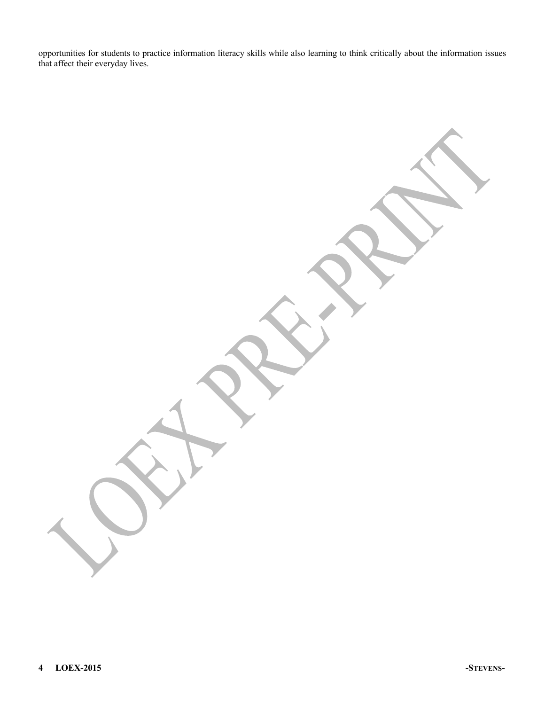opportunities for students to practice information literacy skills while also learning to think critically about the information issues that affect their everyday lives.

**4 LOEX-2015 -STEVENS-**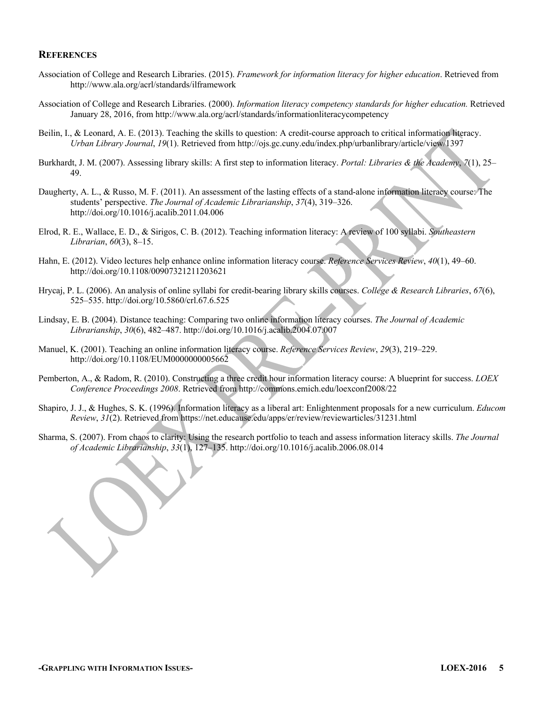#### **REFERENCES**

- Association of College and Research Libraries. (2015). *Framework for information literacy for higher education*. Retrieved from http://www.ala.org/acrl/standards/ilframework
- Association of College and Research Libraries. (2000). *Information literacy competency standards for higher education.* Retrieved January 28, 2016, from http://www.ala.org/acrl/standards/informationliteracycompetency
- Beilin, I., & Leonard, A. E. (2013). Teaching the skills to question: A credit-course approach to critical information literacy. *Urban Library Journal*, *19*(1). Retrieved from http://ojs.gc.cuny.edu/index.php/urbanlibrary/article/view/1397
- Burkhardt, J. M. (2007). Assessing library skills: A first step to information literacy. *Portal: Libraries & the Academy*, *7*(1), 25– 49.
- Daugherty, A. L., & Russo, M. F. (2011). An assessment of the lasting effects of a stand-alone information literacy course: The students' perspective. *The Journal of Academic Librarianship*, *37*(4), 319–326. http://doi.org/10.1016/j.acalib.2011.04.006
- Elrod, R. E., Wallace, E. D., & Sirigos, C. B. (2012). Teaching information literacy: A review of 100 syllabi. *Southeastern Librarian*, *60*(3), 8–15.
- Hahn, E. (2012). Video lectures help enhance online information literacy course. *Reference Services Review*, *40*(1), 49–60. http://doi.org/10.1108/00907321211203621
- Hrycaj, P. L. (2006). An analysis of online syllabi for credit-bearing library skills courses. *College & Research Libraries*, *67*(6), 525–535. http://doi.org/10.5860/crl.67.6.525
- Lindsay, E. B. (2004). Distance teaching: Comparing two online information literacy courses. *The Journal of Academic Librarianship*, *30*(6), 482–487. http://doi.org/10.1016/j.acalib.2004.07.007
- Manuel, K. (2001). Teaching an online information literacy course. *Reference Services Review*, *29*(3), 219–229. http://doi.org/10.1108/EUM0000000005662
- Pemberton, A., & Radom, R. (2010). Constructing a three credit hour information literacy course: A blueprint for success. *LOEX Conference Proceedings 2008*. Retrieved from http://commons.emich.edu/loexconf2008/22
- Shapiro, J. J., & Hughes, S. K. (1996). Information literacy as a liberal art: Enlightenment proposals for a new curriculum. *Educom Review*, *31*(2). Retrieved from https://net.educause.edu/apps/er/review/reviewarticles/31231.html
- Sharma, S. (2007). From chaos to clarity: Using the research portfolio to teach and assess information literacy skills. *The Journal of Academic Librarianship*, *33*(1), 127–135. http://doi.org/10.1016/j.acalib.2006.08.014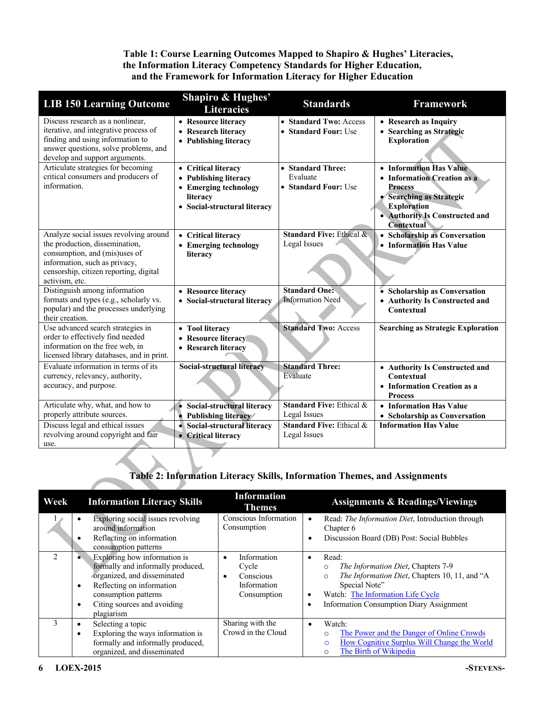# **Table 1: Course Learning Outcomes Mapped to Shapiro & Hughes' Literacies, the Information Literacy Competency Standards for Higher Education, and the Framework for Information Literacy for Higher Education**

| <b>LIB 150 Learning Outcome</b>                                                                                                                                                                        | <b>Shapiro &amp; Hughes'</b><br><b>Literacies</b>                                                                 | <b>Standards</b>                                      | <b>Framework</b>                                                                                                                                                                  |
|--------------------------------------------------------------------------------------------------------------------------------------------------------------------------------------------------------|-------------------------------------------------------------------------------------------------------------------|-------------------------------------------------------|-----------------------------------------------------------------------------------------------------------------------------------------------------------------------------------|
| Discuss research as a nonlinear.<br>iterative, and integrative process of<br>finding and using information to<br>answer questions, solve problems, and<br>develop and support arguments.               | • Resource literacy<br>• Research literacy<br>• Publishing literacy                                               | • Standard Two: Access<br>• Standard Four: Use        | • Research as Inquiry<br>• Searching as Strategic<br><b>Exploration</b>                                                                                                           |
| Articulate strategies for becoming<br>critical consumers and producers of<br>information.                                                                                                              | • Critical literacy<br>• Publishing literacy<br>• Emerging technology<br>literacy<br>• Social-structural literacy | • Standard Three:<br>Evaluate<br>• Standard Four: Use | • Information Has Value<br>• Information Creation as a<br><b>Process</b><br>• Searching as Strategic<br><b>Exploration</b><br>• Authority Is Constructed and<br><b>Contextual</b> |
| Analyze social issues revolving around<br>the production, dissemination,<br>consumption, and (mis)uses of<br>information, such as privacy,<br>censorship, citizen reporting, digital<br>activism, etc. | • Critical literacy<br>• Emerging technology<br>literacy                                                          | <b>Standard Five: Ethical &amp;</b><br>Legal Issues   | • Scholarship as Conversation<br>• Information Has Value                                                                                                                          |
| Distinguish among information<br>formats and types (e.g., scholarly vs.<br>popular) and the processes underlying<br>their creation.                                                                    | • Resource literacy<br>• Social-structural literacy                                                               | <b>Standard One:</b><br><b>Information Need</b>       | • Scholarship as Conversation<br>• Authority Is Constructed and<br>Contextual                                                                                                     |
| Use advanced search strategies in<br>order to effectively find needed<br>information on the free web, in<br>licensed library databases, and in print.                                                  | • Tool literacy<br>• Resource literacy<br>• Research literacy                                                     | <b>Standard Two: Access</b>                           | <b>Searching as Strategic Exploration</b>                                                                                                                                         |
| Evaluate information in terms of its<br>currency, relevancy, authority,<br>accuracy, and purpose.                                                                                                      | Social-structural literacy                                                                                        | <b>Standard Three:</b><br>Evaluate                    | • Authority Is Constructed and<br>Contextual<br>• Information Creation as a<br><b>Process</b>                                                                                     |
| Articulate why, what, and how to<br>properly attribute sources.                                                                                                                                        | • Social-structural literacy<br>Publishing literacy<br>$\bullet$                                                  | <b>Standard Five: Ethical &amp;</b><br>Legal Issues   | • Information Has Value<br>• Scholarship as Conversation                                                                                                                          |
| Discuss legal and ethical issues<br>revolving around copyright and fair<br>use.                                                                                                                        | • Social-structural literacy<br>• Critical literacy                                                               | Standard Five: Ethical &<br>Legal Issues              | <b>Information Has Value</b>                                                                                                                                                      |

# **Table 2: Information Literacy Skills, Information Themes, and Assignments**

| Week           | <b>Information Literacy Skills</b>                                                                                                                                                                                           | <b>Information</b><br><b>Themes</b>                             | <b>Assignments &amp; Readings/Viewings</b>                                                                                                                                                                                                                 |
|----------------|------------------------------------------------------------------------------------------------------------------------------------------------------------------------------------------------------------------------------|-----------------------------------------------------------------|------------------------------------------------------------------------------------------------------------------------------------------------------------------------------------------------------------------------------------------------------------|
|                | Exploring social issues revolving<br>around information<br>Reflecting on information<br>consumption patterns                                                                                                                 | Conscious Information<br>Consumption                            | Read: The Information Diet, Introduction through<br>$\bullet$<br>Chapter 6<br>Discussion Board (DB) Post: Social Bubbles<br>$\bullet$                                                                                                                      |
| $\mathfrak{D}$ | Exploring how information is<br>formally and informally produced,<br>organized, and disseminated<br>Reflecting on information<br>$\bullet$<br>consumption patterns<br>Citing sources and avoiding<br>$\bullet$<br>plagiarism | Information<br>Cycle<br>Conscious<br>Information<br>Consumption | Read:<br>$\bullet$<br>The Information Diet, Chapters 7-9<br>$\circ$<br>The Information Diet, Chapters 10, 11, and "A<br>$\circ$<br>Special Note"<br>Watch: The Information Life Cycle<br>$\bullet$<br><b>Information Consumption Diary Assignment</b><br>٠ |
| 3              | Selecting a topic<br>٠<br>Exploring the ways information is<br>¢<br>formally and informally produced,<br>organized, and disseminated                                                                                         | Sharing with the<br>Crowd in the Cloud                          | Watch:<br>$\bullet$<br>The Power and the Danger of Online Crowds<br>How Cognitive Surplus Will Change the World<br>O<br>The Birth of Wikipedia<br>O                                                                                                        |